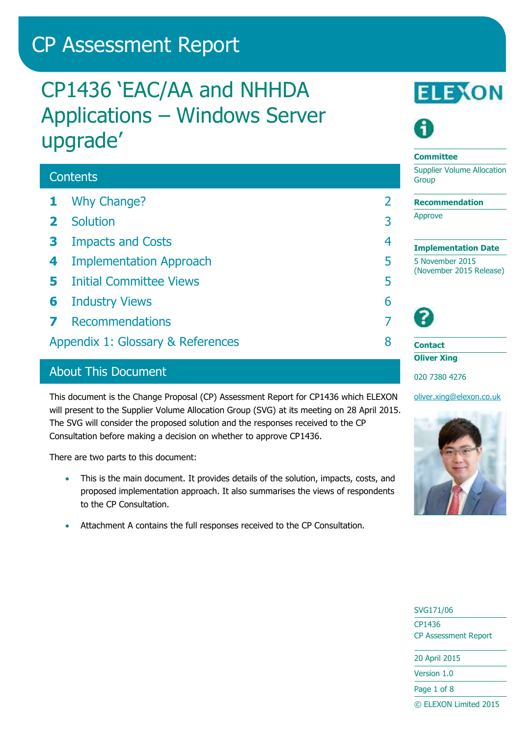# CP Assessment Report

# CP1436 'EAC/AA and NHHDA Applications – Windows Server upgrade'

# **Contents**

- **1** [Why Change?](#page-1-0) 2
- **2** [Solution](#page-2-0) 3
- **3** [Impacts and Costs](#page-3-0) 4
- **4** [Implementation Approach](#page-4-0) 5
- **5** [Initial Committee Views](#page-4-1) 5
- **6** [Industry Views](#page-5-0) 6
- **7** [Recommendations](#page-6-0) **7**
- [Appendix 1: Glossary & References](#page-7-0) 8

## About This Document

This document is the Change Proposal (CP) Assessment Report for CP1436 which ELEXON will present to the Supplier Volume Allocation Group (SVG) at its meeting on 28 April 2015. The SVG will consider the proposed solution and the responses received to the CP Consultation before making a decision on whether to approve CP1436.

There are two parts to this document:

- This is the main document. It provides details of the solution, impacts, costs, and proposed implementation approach. It also summarises the views of respondents to the CP Consultation.
- Attachment A contains the full responses received to the CP Consultation.





#### **Committee**

Supplier Volume Allocation **Group** 

**Recommendation**

Approve

**Implementation Date** 5 November 2015 (November 2015 Release)

**Contact Oliver Xing** 020 7380 4276

[oliver.xing@elexon.co.uk](mailto:oliver.xing@elexon.co.uk)



# SVG171/06 CP1436 CP Assessment Report 20 April 2015 Version 1.0 Page 1 of 8 © ELEXON Limited 2015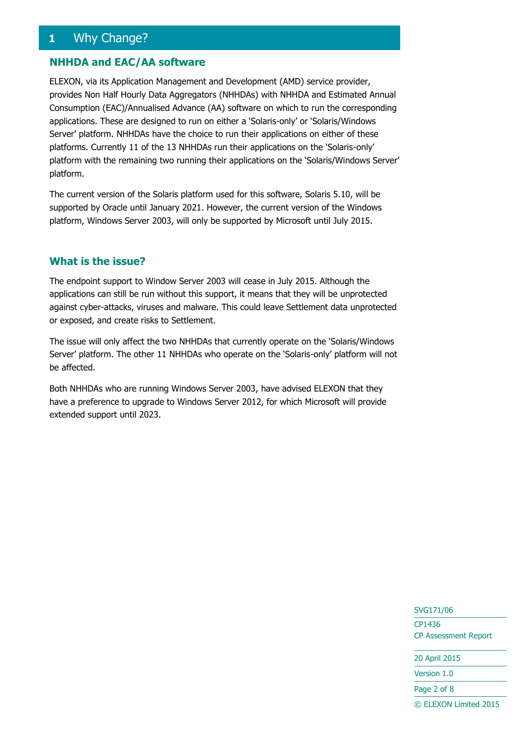# <span id="page-1-0"></span>**1** Why Change?

#### **NHHDA and EAC/AA software**

ELEXON, via its Application Management and Development (AMD) service provider, provides Non Half Hourly Data Aggregators (NHHDAs) with NHHDA and Estimated Annual Consumption (EAC)/Annualised Advance (AA) software on which to run the corresponding applications. These are designed to run on either a 'Solaris-only' or 'Solaris/Windows Server' platform. NHHDAs have the choice to run their applications on either of these platforms. Currently 11 of the 13 NHHDAs run their applications on the 'Solaris-only' platform with the remaining two running their applications on the 'Solaris/Windows Server' platform.

The current version of the Solaris platform used for this software, Solaris 5.10, will be supported by Oracle until January 2021. However, the current version of the Windows platform, Windows Server 2003, will only be supported by Microsoft until July 2015.

#### **What is the issue?**

The endpoint support to Window Server 2003 will cease in July 2015. Although the applications can still be run without this support, it means that they will be unprotected against cyber-attacks, viruses and malware. This could leave Settlement data unprotected or exposed, and create risks to Settlement.

The issue will only affect the two NHHDAs that currently operate on the 'Solaris/Windows Server' platform. The other 11 NHHDAs who operate on the 'Solaris-only' platform will not be affected.

Both NHHDAs who are running Windows Server 2003, have advised ELEXON that they have a preference to upgrade to Windows Server 2012, for which Microsoft will provide extended support until 2023.

# SVG171/06 CP1436 CP Assessment Report

20 April 2015

Version 1.0

Page 2 of 8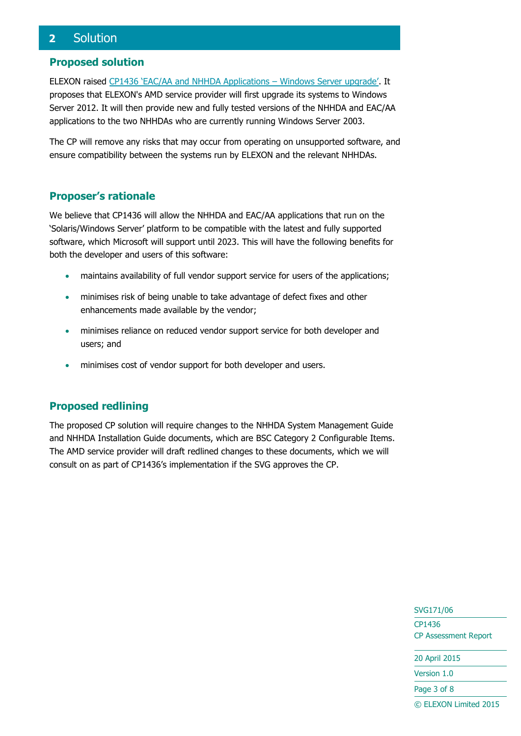# <span id="page-2-0"></span>**2** Solution

#### **Proposed solution**

ELEXON raised [CP1436 'EAC/AA and NHHDA Applications –](https://www.elexon.co.uk/change-proposal/cp1436/) Windows Server upgrade'. It proposes that ELEXON's AMD service provider will first upgrade its systems to Windows Server 2012. It will then provide new and fully tested versions of the NHHDA and EAC/AA applications to the two NHHDAs who are currently running Windows Server 2003.

The CP will remove any risks that may occur from operating on unsupported software, and ensure compatibility between the systems run by ELEXON and the relevant NHHDAs.

### **Proposer's rationale**

We believe that CP1436 will allow the NHHDA and EAC/AA applications that run on the 'Solaris/Windows Server' platform to be compatible with the latest and fully supported software, which Microsoft will support until 2023. This will have the following benefits for both the developer and users of this software:

- maintains availability of full vendor support service for users of the applications;
- minimises risk of being unable to take advantage of defect fixes and other enhancements made available by the vendor;
- minimises reliance on reduced vendor support service for both developer and users; and
- minimises cost of vendor support for both developer and users.

## **Proposed redlining**

The proposed CP solution will require changes to the NHHDA System Management Guide and NHHDA Installation Guide documents, which are BSC Category 2 Configurable Items. The AMD service provider will draft redlined changes to these documents, which we will consult on as part of CP1436's implementation if the SVG approves the CP.

> SVG171/06 CP1436 CP Assessment Report 20 April 2015 Version 1.0

Page 3 of 8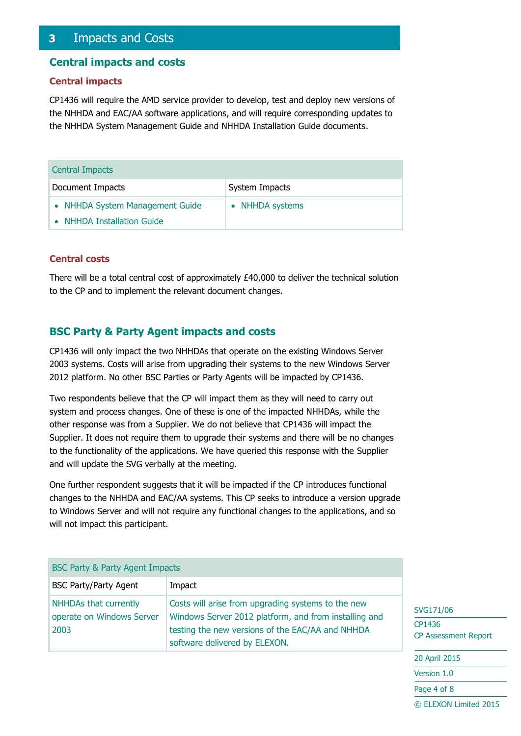## <span id="page-3-0"></span>**3** Impacts and Costs

#### **Central impacts and costs**

#### **Central impacts**

CP1436 will require the AMD service provider to develop, test and deploy new versions of the NHHDA and EAC/AA software applications, and will require corresponding updates to the NHHDA System Management Guide and NHHDA Installation Guide documents.

| <b>Central Impacts</b>          |                 |  |  |
|---------------------------------|-----------------|--|--|
| Document Impacts                | System Impacts  |  |  |
| • NHHDA System Management Guide | • NHHDA systems |  |  |
| • NHHDA Installation Guide      |                 |  |  |

#### **Central costs**

There will be a total central cost of approximately £40,000 to deliver the technical solution to the CP and to implement the relevant document changes.

#### **BSC Party & Party Agent impacts and costs**

CP1436 will only impact the two NHHDAs that operate on the existing Windows Server 2003 systems. Costs will arise from upgrading their systems to the new Windows Server 2012 platform. No other BSC Parties or Party Agents will be impacted by CP1436.

Two respondents believe that the CP will impact them as they will need to carry out system and process changes. One of these is one of the impacted NHHDAs, while the other response was from a Supplier. We do not believe that CP1436 will impact the Supplier. It does not require them to upgrade their systems and there will be no changes to the functionality of the applications. We have queried this response with the Supplier and will update the SVG verbally at the meeting.

One further respondent suggests that it will be impacted if the CP introduces functional changes to the NHHDA and EAC/AA systems. This CP seeks to introduce a version upgrade to Windows Server and will not require any functional changes to the applications, and so will not impact this participant.

| <b>BSC Party &amp; Party Agent Impacts</b>                 |                                                                                                                                                                                                  |  |  |
|------------------------------------------------------------|--------------------------------------------------------------------------------------------------------------------------------------------------------------------------------------------------|--|--|
| <b>BSC Party/Party Agent</b>                               | Impact                                                                                                                                                                                           |  |  |
| NHHDAs that currently<br>operate on Windows Server<br>2003 | Costs will arise from upgrading systems to the new<br>Windows Server 2012 platform, and from installing and<br>testing the new versions of the EAC/AA and NHHDA<br>software delivered by ELEXON. |  |  |

#### SVG171/06

CP1436 CP Assessment Report

20 April 2015

Version 1.0

Page 4 of 8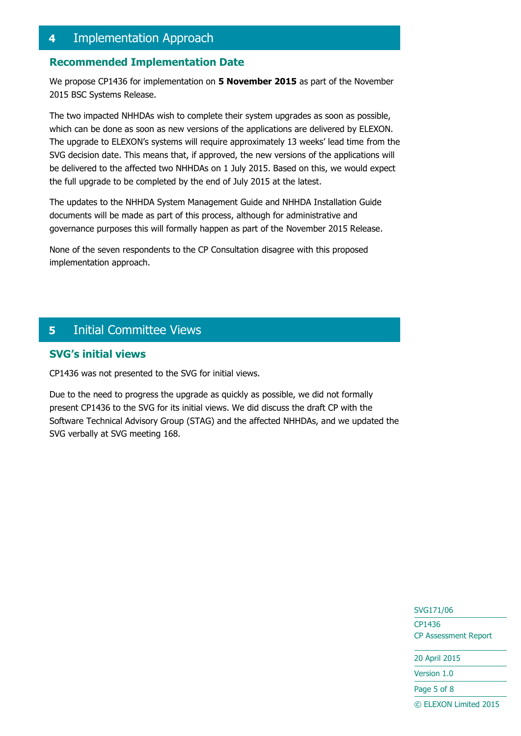## <span id="page-4-0"></span>**4** Implementation Approach

#### **Recommended Implementation Date**

We propose CP1436 for implementation on **5 November 2015** as part of the November 2015 BSC Systems Release.

The two impacted NHHDAs wish to complete their system upgrades as soon as possible, which can be done as soon as new versions of the applications are delivered by ELEXON. The upgrade to ELEXON's systems will require approximately 13 weeks' lead time from the SVG decision date. This means that, if approved, the new versions of the applications will be delivered to the affected two NHHDAs on 1 July 2015. Based on this, we would expect the full upgrade to be completed by the end of July 2015 at the latest.

The updates to the NHHDA System Management Guide and NHHDA Installation Guide documents will be made as part of this process, although for administrative and governance purposes this will formally happen as part of the November 2015 Release.

None of the seven respondents to the CP Consultation disagree with this proposed implementation approach.

## <span id="page-4-1"></span>**5** Initial Committee Views

## **SVG's initial views**

CP1436 was not presented to the SVG for initial views.

Due to the need to progress the upgrade as quickly as possible, we did not formally present CP1436 to the SVG for its initial views. We did discuss the draft CP with the Software Technical Advisory Group (STAG) and the affected NHHDAs, and we updated the SVG verbally at SVG meeting 168.

> SVG171/06 CP1436 CP Assessment Report

20 April 2015

Version 1.0

Page 5 of 8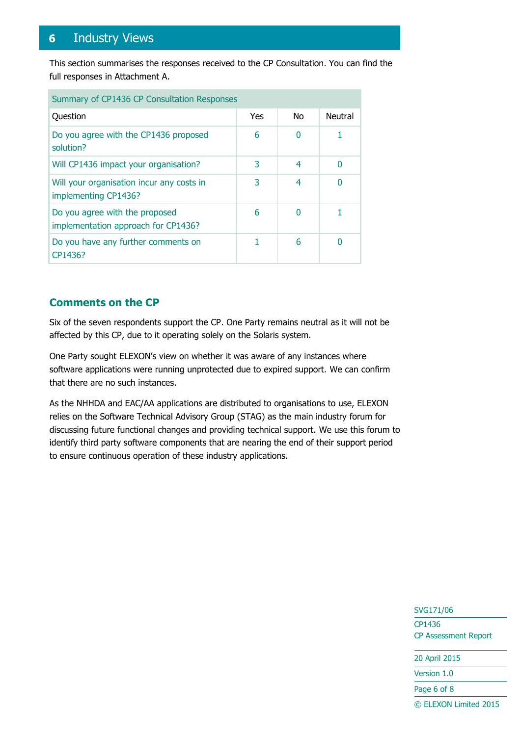# <span id="page-5-0"></span>**6** Industry Views

This section summarises the responses received to the CP Consultation. You can find the full responses in Attachment A.

| Summary of CP1436 CP Consultation Responses                           |     |                |         |
|-----------------------------------------------------------------------|-----|----------------|---------|
| Question                                                              | Yes | N <sub>0</sub> | Neutral |
| Do you agree with the CP1436 proposed<br>solution?                    | 6   | 0              |         |
| Will CP1436 impact your organisation?                                 | 3   | 4              | 0       |
| Will your organisation incur any costs in<br>implementing CP1436?     | 3   | 4              |         |
| Do you agree with the proposed<br>implementation approach for CP1436? | 6   | 0              |         |
| Do you have any further comments on<br>CP1436?                        |     | 6              |         |

## **Comments on the CP**

Six of the seven respondents support the CP. One Party remains neutral as it will not be affected by this CP, due to it operating solely on the Solaris system.

One Party sought ELEXON's view on whether it was aware of any instances where software applications were running unprotected due to expired support. We can confirm that there are no such instances.

As the NHHDA and EAC/AA applications are distributed to organisations to use, ELEXON relies on the Software Technical Advisory Group (STAG) as the main industry forum for discussing future functional changes and providing technical support. We use this forum to identify third party software components that are nearing the end of their support period to ensure continuous operation of these industry applications.

> SVG171/06 CP1436 CP Assessment Report 20 April 2015 Version 1.0

Page 6 of 8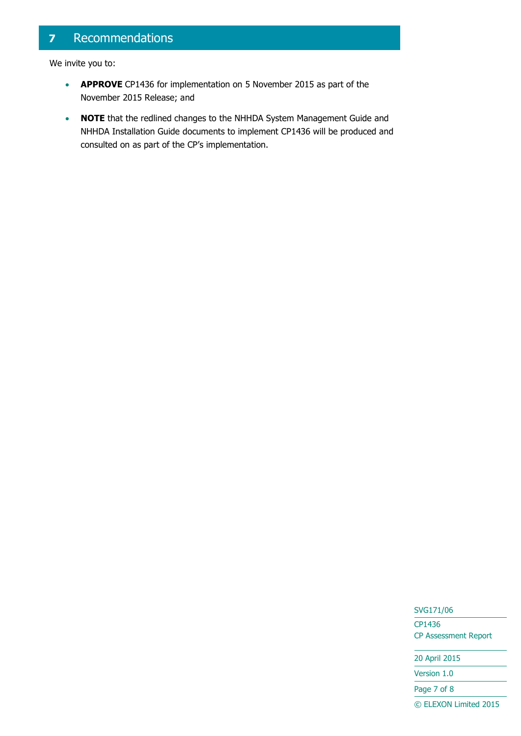# <span id="page-6-0"></span>**7** Recommendations

We invite you to:

- **APPROVE** CP1436 for implementation on 5 November 2015 as part of the November 2015 Release; and
- **NOTE** that the redlined changes to the NHHDA System Management Guide and NHHDA Installation Guide documents to implement CP1436 will be produced and consulted on as part of the CP's implementation.

SVG171/06

CP1436 CP Assessment Report

20 April 2015

Version 1.0

Page 7 of 8